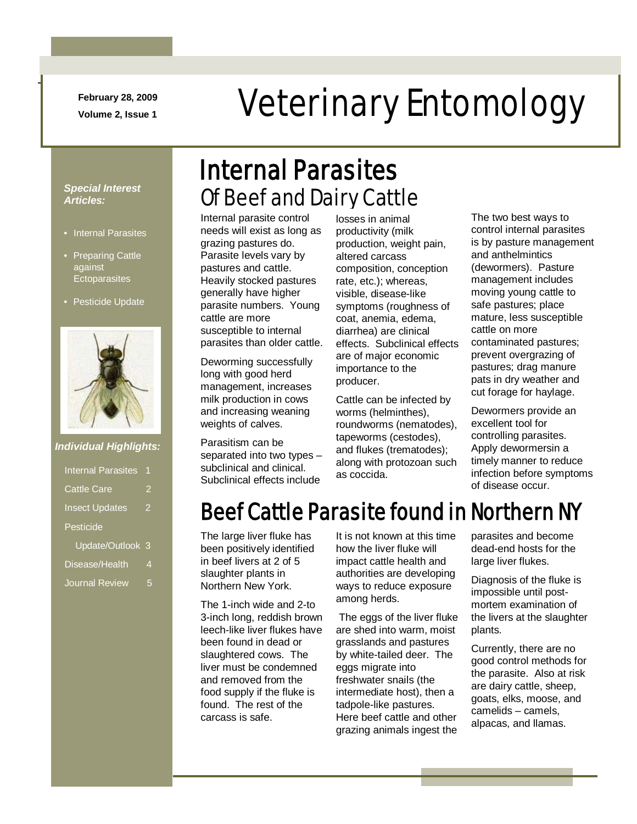**February 28, 2009**

-

# February 28, 2009<br>Veterinary Entomology

#### *Special Interest Articles:*

- Internal Parasites
- Preparing Cattle against **Ectoparasites**
- Pesticide Update



#### *Individual Highlights:*

| <b>Internal Parasites</b> |   |
|---------------------------|---|
| <b>Cattle Care</b>        | 2 |
| <b>Insect Updates</b>     | 2 |
| Pesticide                 |   |
| Update/Outlook            | 3 |
| Disease/Health            | 4 |
| Journal Review            | 5 |

# Of Beef and Dairy Cattle Internal Parasites

Internal parasite control needs will exist as long as grazing pastures do. Parasite levels vary by pastures and cattle. Heavily stocked pastures generally have higher parasite numbers. Young cattle are more susceptible to internal parasites than older cattle.

Deworming successfully long with good herd management, increases milk production in cows and increasing weaning weights of calves.

Parasitism can be separated into two types – subclinical and clinical. Subclinical effects include

losses in animal productivity (milk production, weight pain, altered carcass composition, conception rate, etc.); whereas, visible, disease-like symptoms (roughness of coat, anemia, edema, diarrhea) are clinical effects. Subclinical effects are of major economic importance to the producer.

Cattle can be infected by worms (helminthes), roundworms (nematodes), tapeworms (cestodes), and flukes (trematodes); along with protozoan such as coccida.

The two best ways to control internal parasites is by pasture management and anthelmintics (dewormers). Pasture management includes moving young cattle to safe pastures; place mature, less susceptible cattle on more contaminated pastures; prevent overgrazing of pastures; drag manure pats in dry weather and cut forage for haylage.

Dewormers provide an excellent tool for controlling parasites. Apply dewormersin a timely manner to reduce infection before symptoms of disease occur.

# Beef Cattle Parasite found in Northern NY

The large liver fluke has been positively identified in beef livers at 2 of 5 slaughter plants in Northern New York.

The 1-inch wide and 2-to 3-inch long, reddish brown leech-like liver flukes have been found in dead or slaughtered cows. The liver must be condemned and removed from the food supply if the fluke is found. The rest of the carcass is safe.

It is not known at this time how the liver fluke will impact cattle health and authorities are developing ways to reduce exposure among herds.

The eggs of the liver fluke are shed into warm, moist grasslands and pastures by white-tailed deer. The eggs migrate into freshwater snails (the intermediate host), then a tadpole-like pastures. Here beef cattle and other grazing animals ingest the parasites and become dead-end hosts for the large liver flukes.

Diagnosis of the fluke is impossible until postmortem examination of the livers at the slaughter plants.

Currently, there are no good control methods for the parasite. Also at risk are dairy cattle, sheep, goats, elks, moose, and camelids – camels, alpacas, and llamas.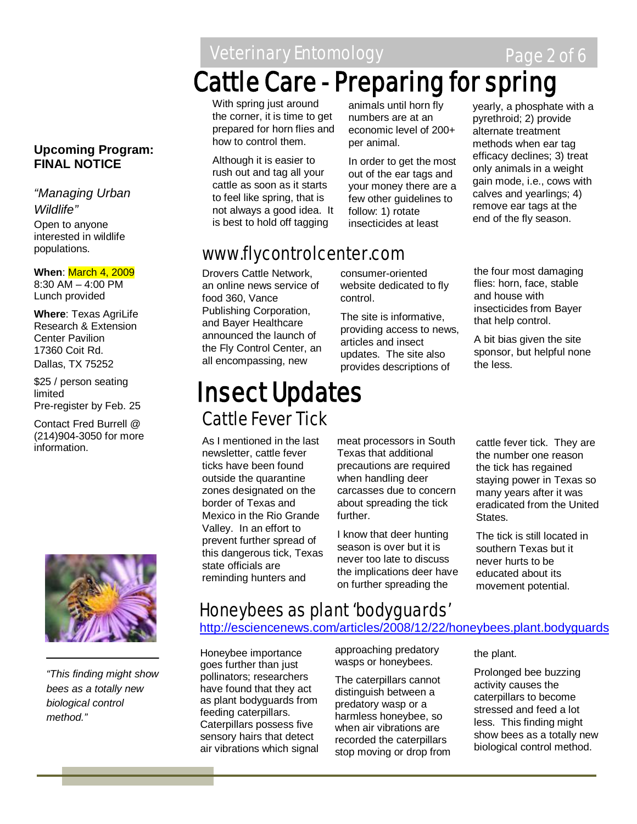Veterinary Entomology **Page 2 of 6** 

# Cattle Care - Preparing for spring

With spring just around the corner, it is time to get prepared for horn flies and how to control them.

Although it is easier to rush out and tag all your cattle as soon as it starts to feel like spring, that is not always a good idea. It is best to hold off tagging

animals until horn fly numbers are at an economic level of 200+ per animal.

In order to get the most out of the ear tags and your money there are a few other guidelines to follow: 1) rotate insecticides at least

yearly, a phosphate with a pyrethroid; 2) provide alternate treatment methods when ear tag efficacy declines; 3) treat only animals in a weight gain mode, i.e., cows with calves and yearlings; 4) remove ear tags at the end of the fly season.

# www.flycontrolcenter.com

Drovers Cattle Network, an online news service of food 360, Vance Publishing Corporation, and Bayer Healthcare announced the launch of the Fly Control Center, an all encompassing, new

consumer-oriented website dedicated to fly control.

The site is informative, providing access to news, articles and insect updates. The site also provides descriptions of

# Cattle Fever Tick Insect Updates

As I mentioned in the last newsletter, cattle fever ticks have been found outside the quarantine zones designated on the border of Texas and Mexico in the Rio Grande Valley. In an effort to prevent further spread of this dangerous tick, Texas state officials are reminding hunters and

meat processors in South Texas that additional precautions are required when handling deer carcasses due to concern about spreading the tick further.

I know that deer hunting season is over but it is never too late to discuss the implications deer have on further spreading the

the four most damaging flies: horn, face, stable and house with insecticides from Bayer that help control.

A bit bias given the site sponsor, but helpful none the less.

cattle fever tick. They are the number one reason the tick has regained staying power in Texas so many years after it was eradicated from the United States.

The tick is still located in southern Texas but it never hurts to be educated about its movement potential.

*"This finding might show bees as a totally new biological control method."*

# Honeybees as plant 'bodyguards'

# <http://esciencenews.com/articles/2008/12/22/honeybees.plant.bodyguards>

 $\overline{1}$ Honeybee importance goes further than just pollinators; researchers have found that they act as plant bodyguards from feeding caterpillars. Caterpillars possess five sensory hairs that detect air vibrations which signal

approaching predatory wasps or honeybees.

The caterpillars cannot distinguish between a predatory wasp or a harmless honeybee, so when air vibrations are recorded the caterpillars stop moving or drop from the plant.

Prolonged bee buzzing activity causes the caterpillars to become stressed and feed a lot less. This finding might show bees as a totally new biological control method.

### **Upcoming Program: FINAL NOTICE**

*"Managing Urban Wildlife"* Open to anyone

interested in wildlife populations.

#### **When**: March 4, 2009 8:30 AM – 4:00 PM

Lunch provided

**Where**: Texas AgriLife Research & Extension Center Pavilion 17360 Coit Rd. Dallas, TX 75252

\$25 / person seating limited Pre-register by Feb. 25

Contact Fred Burrell @ (214)904-3050 for more information.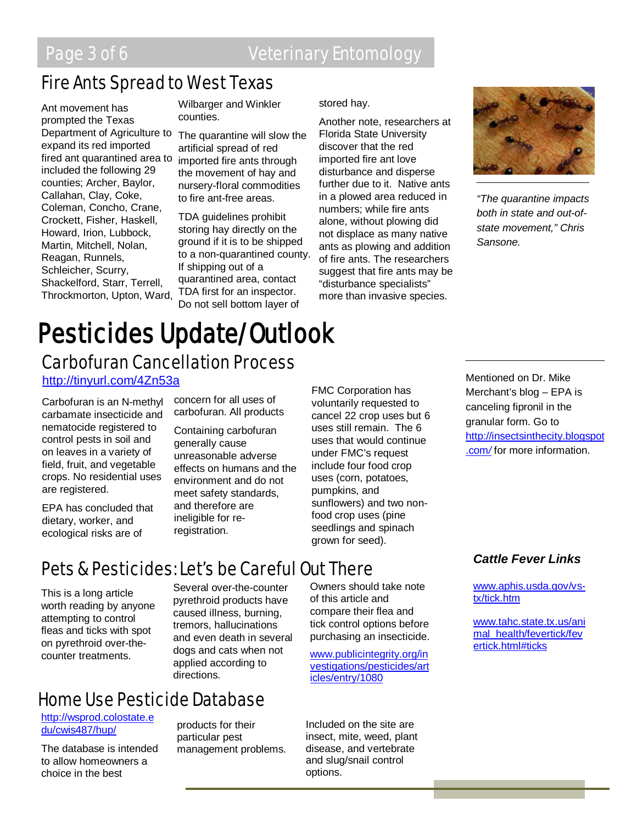# Fire Ants Spread to West Texas

Ant movement has prompted the Texas Department of Agriculture to expand its red imported fired ant quarantined area to included the following 29 counties; Archer, Baylor, Callahan, Clay, Coke, Coleman, Concho, Crane, Crockett, Fisher, Haskell, Howard, Irion, Lubbock, Martin, Mitchell, Nolan, Reagan, Runnels, Schleicher, Scurry, Shackelford, Starr, Terrell, Throckmorton, Upton, Ward,

Wilbarger and Winkler counties.

The quarantine will slow the artificial spread of red imported fire ants through the movement of hay and nursery-floral commodities to fire ant-free areas.

TDA guidelines prohibit storing hay directly on the ground if it is to be shipped to a non-quarantined county. If shipping out of a quarantined area, contact TDA first for an inspector. Do not sell bottom layer of

#### stored hay.

Another note, researchers at Florida State University discover that the red imported fire ant love disturbance and disperse further due to it. Native ants in a plowed area reduced in numbers; while fire ants alone, without plowing did not displace as many native ants as plowing and addition of fire ants. The researchers suggest that fire ants may be "disturbance specialists" more than invasive species.



*"The quarantine impacts both in state and out-ofstate movement," Chris Sansone.*

# **Pesticides Update/Outlook**<br>Carbofuran Cancellation Process

<http://tinyurl.com/4Zn53a>

Carbofuran is an N-methyl carbamate insecticide and nematocide registered to control pests in soil and on leaves in a variety of field, fruit, and vegetable crops. No residential uses are registered.

EPA has concluded that dietary, worker, and ecological risks are of

concern for all uses of carbofuran. All products

Containing carbofuran generally cause unreasonable adverse effects on humans and the environment and do not meet safety standards, and therefore are ineligible for reregistration.

FMC Corporation has voluntarily requested to cancel 22 crop uses but 6 uses still remain. The 6 uses that would continue under FMC's request include four food crop uses (corn, potatoes, pumpkins, and sunflowers) and two nonfood crop uses (pine seedlings and spinach grown for seed).

Pets & Pesticides: Let's be Careful Out There

This is a long article worth reading by anyone attempting to control fleas and ticks with spot on pyrethroid over-thecounter treatments.

Several over-the-counter pyrethroid products have caused illness, burning, tremors, hallucinations and even death in several dogs and cats when not applied according to directions.

# Home Use Pesticide Database

[http://wsprod.colostate.e](http://wsprod.colostate.edu/cwis487/hup/) [du/cwis487/hup/](http://wsprod.colostate.edu/cwis487/hup/)

The database is intended to allow homeowners a choice in the best

products for their particular pest management problems. Owners should take note of this article and compare their flea and tick control options before purchasing an insecticide.

[www.publicintegrity.org/in](http://www.publicintegrity.org/investigations/pesticides/articles/entry/1080) [vestigations/pesticides/art](http://www.publicintegrity.org/investigations/pesticides/articles/entry/1080) [icles/entry/1080](http://www.publicintegrity.org/investigations/pesticides/articles/entry/1080)

Included on the site are insect, mite, weed, plant disease, and vertebrate and slug/snail control options.

Mentioned on Dr. Mike Merchant's blog – EPA is canceling fipronil in the granular form. Go to [http://insectsinthecity.blogspot](http://insectsinthecity.blogspot.com/) [.com](http://insectsinthecity.blogspot.com/)*/* for more information.

#### *Cattle Fever Links*

[www.aphis.usda.gov/vs](http://www.aphis.usda.gov/vs-tx/tick.htm)[tx/tick.htm](http://www.aphis.usda.gov/vs-tx/tick.htm)

[www.tahc.state.tx.us/ani](http://www.tahc.state.tx.us/animal_health/fevertick/fevertick.html#ticks) [mal\\_health/fevertick/fev](http://www.tahc.state.tx.us/animal_health/fevertick/fevertick.html#ticks) [ertick.html#ticks](http://www.tahc.state.tx.us/animal_health/fevertick/fevertick.html#ticks)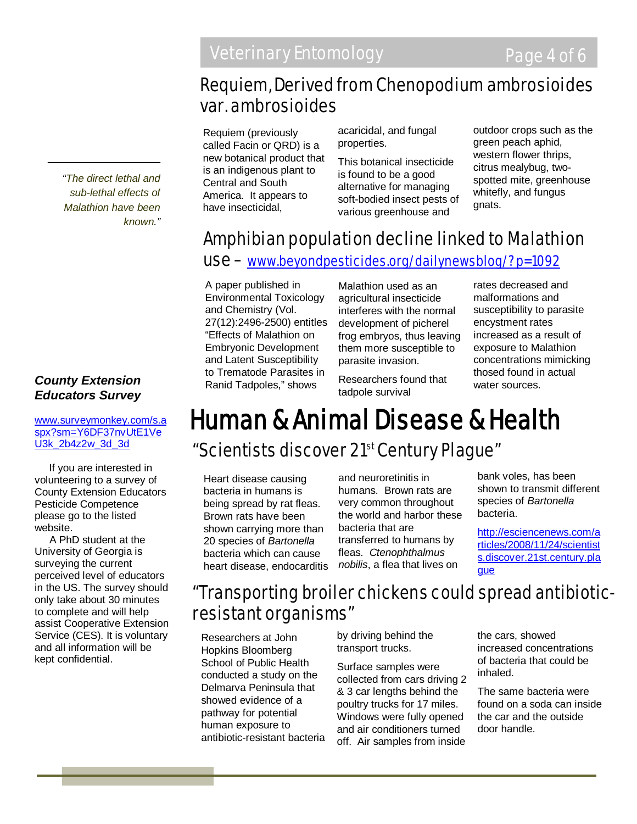# Requiem, Derived from Chenopodium ambrosioides var. ambrosioides

Requiem (previously called Facin or QRD) is a new botanical product that is an indigenous plant to Central and South America. It appears to have insecticidal,

acaricidal, and fungal properties.

This botanical insecticide is found to be a good alternative for managing soft-bodied insect pests of various greenhouse and

outdoor crops such as the green peach aphid, western flower thrips, citrus mealybug, twospotted mite, greenhouse whitefly, and fungus gnats.

# Amphibian population decline linked to Malathion

# use – [www.beyondpesticides.org/dailynewsblog/?p=1092](http://www.beyondpesticides.org/dailynewsblog/?p=1092)

A paper published in Environmental Toxicology and Chemistry (Vol. 27(12):2496-2500) entitles "Effects of Malathion on Embryonic Development and Latent Susceptibility to Trematode Parasites in Ranid Tadpoles," shows

Malathion used as an agricultural insecticide interferes with the normal development of picherel frog embryos, thus leaving them more susceptible to parasite invasion.

Researchers found that tadpole survival

rates decreased and malformations and susceptibility to parasite encystment rates increased as a result of exposure to Malathion concentrations mimicking thosed found in actual water sources.

# "Scientists discover 21<sup>st</sup> Century Plague" Human & Animal Disease & Health

Heart disease causing bacteria in humans is being spread by rat fleas. Brown rats have been shown carrying more than 20 species of *Bartonella* bacteria which can cause heart disease, endocarditis

and neuroretinitis in humans. Brown rats are very common throughout the world and harbor these bacteria that are transferred to humans by fleas. *Ctenophthalmus nobilis*, a flea that lives on

bank voles, has been shown to transmit different species of *Bartonella* bacteria.

[http://esciencenews.com/a](http://esciencenews.com/articles/2008/11/24/scientists.discover.21st.century.plague) [rticles/2008/11/24/scientist](http://esciencenews.com/articles/2008/11/24/scientists.discover.21st.century.plague) [s.discover.21st.century.pla](http://esciencenews.com/articles/2008/11/24/scientists.discover.21st.century.plague) [gue](http://esciencenews.com/articles/2008/11/24/scientists.discover.21st.century.plague)

# "Transporting broiler chickens could spread antibioticresistant organisms"

Researchers at John Hopkins Bloomberg School of Public Health conducted a study on the Delmarva Peninsula that showed evidence of a pathway for potential human exposure to antibiotic-resistant bacteria by driving behind the transport trucks.

Surface samples were collected from cars driving 2 & 3 car lengths behind the poultry trucks for 17 miles. Windows were fully opened and air conditioners turned off. Air samples from inside the cars, showed increased concentrations of bacteria that could be inhaled.

The same bacteria were found on a soda can inside the car and the outside door handle.

*"The direct lethal and sub-lethal effects of Malathion have been known."*

## *County Extension Educators Survey*

#### [www.surveymonkey.com/s.a](http://www.surveymonkey.com/s.aspx?sm=Y6DF37nvUtE1VeU3k_2b4z2w_3d_3d) [spx?sm=Y6DF37nvUtE1Ve](http://www.surveymonkey.com/s.aspx?sm=Y6DF37nvUtE1VeU3k_2b4z2w_3d_3d) [U3k\\_2b4z2w\\_3d\\_3d](http://www.surveymonkey.com/s.aspx?sm=Y6DF37nvUtE1VeU3k_2b4z2w_3d_3d)

 If you are interested in volunteering to a survey of County Extension Educators Pesticide Competence please go to the listed website.

 A PhD student at the University of Georgia is surveying the current perceived level of educators in the US. The survey should only take about 30 minutes to complete and will help assist Cooperative Extension Service (CES). It is voluntary and all information will be kept confidential.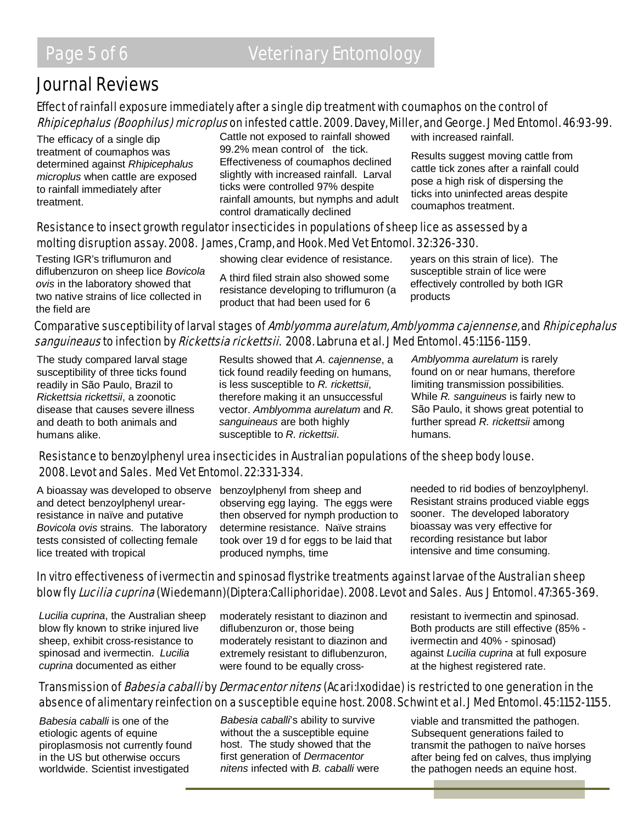# Journal Reviews

# Effect of rainfall exposure immediately after a single dip treatment with coumaphos on the control of Rhipicephalus (Boophilus) microplus on infested cattle. 2009. Davey, Miller, and George. J Med Entomol. 46:93-99.

The efficacy of a single dip treatment of coumaphos was determined against *Rhipicephalus microplus* when cattle are exposed to rainfall immediately after treatment.

Cattle not exposed to rainfall showed 99.2% mean control of the tick. Effectiveness of coumaphos declined slightly with increased rainfall. Larval ticks were controlled 97% despite rainfall amounts, but nymphs and adult control dramatically declined

with increased rainfall.

Results suggest moving cattle from cattle tick zones after a rainfall could pose a high risk of dispersing the ticks into uninfected areas despite coumaphos treatment.

#### Resistance to insect growth regulator insecticides in populations of sheep lice as assessed by a molting disruption assay. 2008. James, Cramp, and Hook. Med Vet Entomol. 32:326-330.

Testing IGR's triflumuron and diflubenzuron on sheep lice *Bovicola ovis* in the laboratory showed that two native strains of lice collected in the field are

showing clear evidence of resistance.

A third filed strain also showed some resistance developing to triflumuron (a product that had been used for 6

years on this strain of lice). The susceptible strain of lice were effectively controlled by both IGR products

## Comparative susceptibility of larval stages of Amblyomma aurelatum, Amblyomma cajennense, and Rhipicephalus sanguineaus to infection by Rickettsia rickettsii. 2008. Labruna et al. J Med Entomol. 45:1156-1159.

The study compared larval stage susceptibility of three ticks found readily in São Paulo, Brazil to *Rickettsia rickettsii*, a zoonotic disease that causes severe illness and death to both animals and humans alike.

Results showed that *A. cajennense*, a tick found readily feeding on humans, is less susceptible to *R. rickettsii*, therefore making it an unsuccessful vector. *Amblyomma aurelatum* and *R. sanguineaus* are both highly susceptible to *R. rickettsii*.

*Amblyomma aurelatum* is rarely found on or near humans, therefore limiting transmission possibilities. While *R. sanguineus* is fairly new to São Paulo, it shows great potential to further spread *R. rickettsii* among humans.

#### Resistance to benzoylphenyl urea insecticides in Australian populations of the sheep body louse. 2008. Levot and Sales. Med Vet Entomol. 22:331-334.

A bioassay was developed to observe benzoylphenyl from sheep and and detect benzoylphenyl urearresistance in naïve and putative *Bovicola ovis* strains. The laboratory tests consisted of collecting female lice treated with tropical

observing egg laying. The eggs were then observed for nymph production to determine resistance. Naïve strains took over 19 d for eggs to be laid that produced nymphs, time

needed to rid bodies of benzoylphenyl. Resistant strains produced viable eggs sooner. The developed laboratory bioassay was very effective for recording resistance but labor intensive and time consuming.

### In vitro effectiveness of ivermectin and spinosad flystrike treatments against larvae of the Australian sheep blow fly Lucilia cuprina (Wiedemann)(Diptera:Calliphoridae). 2008. Levot and Sales. Aus J Entomol. 47:365-369.

*Lucilia cuprina*, the Australian sheep blow fly known to strike injured live sheep, exhibit cross-resistance to spinosad and ivermectin. *Lucilia cuprina* documented as either

moderately resistant to diazinon and diflubenzuron or, those being moderately resistant to diazinon and extremely resistant to diflubenzuron, were found to be equally crossresistant to ivermectin and spinosad. Both products are still effective (85% ivermectin and 40% - spinosad) against *Lucilia cuprina* at full exposure at the highest registered rate.

## Transmission of *Babesia caballi* by *Dermacentor nitens* (Acari:Ixodidae) is restricted to one generation in the absence of alimentary reinfection on a susceptible equine host. 2008. Schwint et al. J Med Entomol. 45:1152-1155.

*Babesia caballi* is one of the etiologic agents of equine piroplasmosis not currently found in the US but otherwise occurs worldwide. Scientist investigated

*Babesia caballi*'s ability to survive without the a susceptible equine host. The study showed that the first generation of *Dermacentor nitens* infected with *B. caballi* were viable and transmitted the pathogen. Subsequent generations failed to transmit the pathogen to naïve horses after being fed on calves, thus implying the pathogen needs an equine host.